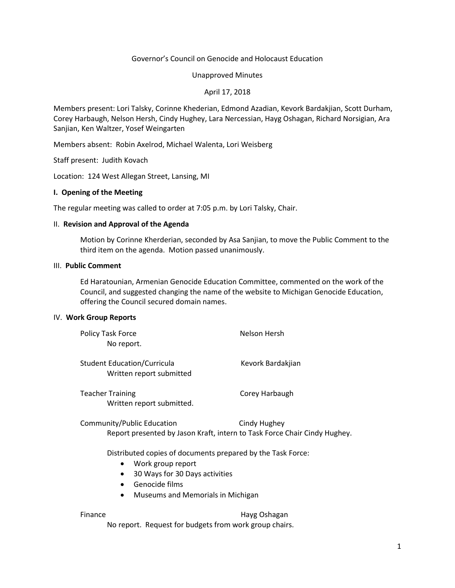# Governor's Council on Genocide and Holocaust Education

### Unapproved Minutes

# April 17, 2018

Members present: Lori Talsky, Corinne Khederian, Edmond Azadian, Kevork Bardakjian, Scott Durham, Corey Harbaugh, Nelson Hersh, Cindy Hughey, Lara Nercessian, Hayg Oshagan, Richard Norsigian, Ara Sanjian, Ken Waltzer, Yosef Weingarten

Members absent: Robin Axelrod, Michael Walenta, Lori Weisberg

Staff present: Judith Kovach

Location: 124 West Allegan Street, Lansing, MI

## **I. Opening of the Meeting**

The regular meeting was called to order at 7:05 p.m. by Lori Talsky, Chair.

### II. **Revision and Approval of the Agenda**

Motion by Corinne Kherderian, seconded by Asa Sanjian, to move the Public Comment to the third item on the agenda. Motion passed unanimously.

## III. **Public Comment**

Ed Haratounian, Armenian Genocide Education Committee, commented on the work of the Council, and suggested changing the name of the website to Michigan Genocide Education, offering the Council secured domain names.

### IV. **Work Group Reports**

| Policy Task Force<br>No report.                                                                         | Nelson Hersh      |
|---------------------------------------------------------------------------------------------------------|-------------------|
| <b>Student Education/Curricula</b><br>Written report submitted                                          | Kevork Bardakjian |
| <b>Teacher Training</b><br>Written report submitted.                                                    | Corey Harbaugh    |
| Community/Public Education<br>Report presented by Jason Kraft, intern to Task Force Chair Cindy Hughey. | Cindy Hughey      |

Distributed copies of documents prepared by the Task Force:

- Work group report
- 30 Ways for 30 Days activities
- Genocide films
- Museums and Memorials in Michigan

Finance **Hayg Oshagan** 

No report. Request for budgets from work group chairs.